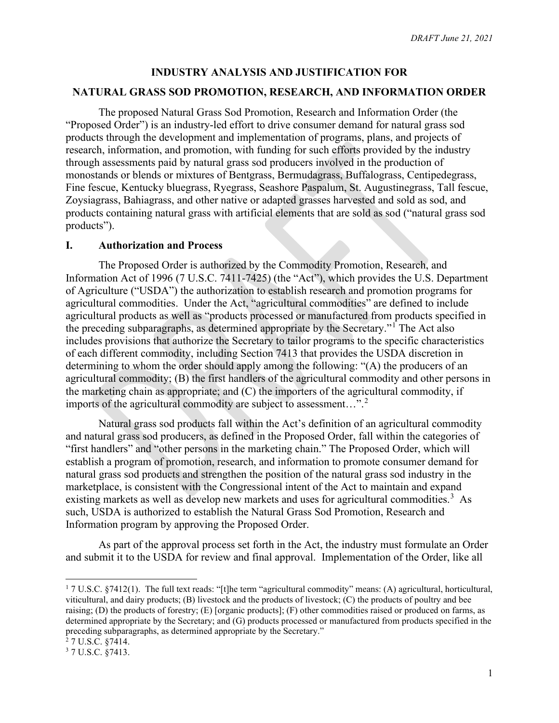#### **INDUSTRY ANALYSIS AND JUSTIFICATION FOR**

#### **NATURAL GRASS SOD PROMOTION, RESEARCH, AND INFORMATION ORDER**

The proposed Natural Grass Sod Promotion, Research and Information Order (the "Proposed Order") is an industry-led effort to drive consumer demand for natural grass sod products through the development and implementation of programs, plans, and projects of research, information, and promotion, with funding for such efforts provided by the industry through assessments paid by natural grass sod producers involved in the production of monostands or blends or mixtures of Bentgrass, Bermudagrass, Buffalograss, Centipedegrass, Fine fescue, Kentucky bluegrass, Ryegrass, Seashore Paspalum, St. Augustinegrass, Tall fescue, Zoysiagrass, Bahiagrass, and other native or adapted grasses harvested and sold as sod, and products containing natural grass with artificial elements that are sold as sod ("natural grass sod products").

#### **I. Authorization and Process**

The Proposed Order is authorized by the Commodity Promotion, Research, and Information Act of 1996 (7 U.S.C. 7411-7425) (the "Act"), which provides the U.S. Department of Agriculture ("USDA") the authorization to establish research and promotion programs for agricultural commodities. Under the Act, "agricultural commodities" are defined to include agricultural products as well as "products processed or manufactured from products specified in the preceding subparagraphs, as determined appropriate by the Secretary."[1](#page-0-0) The Act also includes provisions that authorize the Secretary to tailor programs to the specific characteristics of each different commodity, including Section 7413 that provides the USDA discretion in determining to whom the order should apply among the following: "(A) the producers of an agricultural commodity; (B) the first handlers of the agricultural commodity and other persons in the marketing chain as appropriate; and (C) the importers of the agricultural commodity, if imports of the agricultural commodity are subject to assessment…".[2](#page-0-1)

Natural grass sod products fall within the Act's definition of an agricultural commodity and natural grass sod producers, as defined in the Proposed Order, fall within the categories of "first handlers" and "other persons in the marketing chain." The Proposed Order, which will establish a program of promotion, research, and information to promote consumer demand for natural grass sod products and strengthen the position of the natural grass sod industry in the marketplace, is consistent with the Congressional intent of the Act to maintain and expand existing markets as well as develop new markets and uses for agricultural commodities.<sup>[3](#page-0-2)</sup> As such, USDA is authorized to establish the Natural Grass Sod Promotion, Research and Information program by approving the Proposed Order.

As part of the approval process set forth in the Act, the industry must formulate an Order and submit it to the USDA for review and final approval. Implementation of the Order, like all

<span id="page-0-0"></span> $17 \text{ U.S.C. }$  §7412(1). The full text reads: "[t]he term "agricultural commodity" means: (A) agricultural, horticultural, viticultural, and dairy products; (B) livestock and the products of livestock; (C) the products of poultry and bee raising; (D) the products of forestry; (E) [organic products]; (F) other commodities raised or produced on farms, as determined appropriate by the Secretary; and (G) products processed or manufactured from products specified in the preceding subparagraphs, as determined appropriate by the Secretary."<br><sup>2</sup> 7 U.S.C. §7414.

<span id="page-0-1"></span>

<span id="page-0-2"></span><sup>&</sup>lt;sup>3</sup> 7 U.S.C. §7413.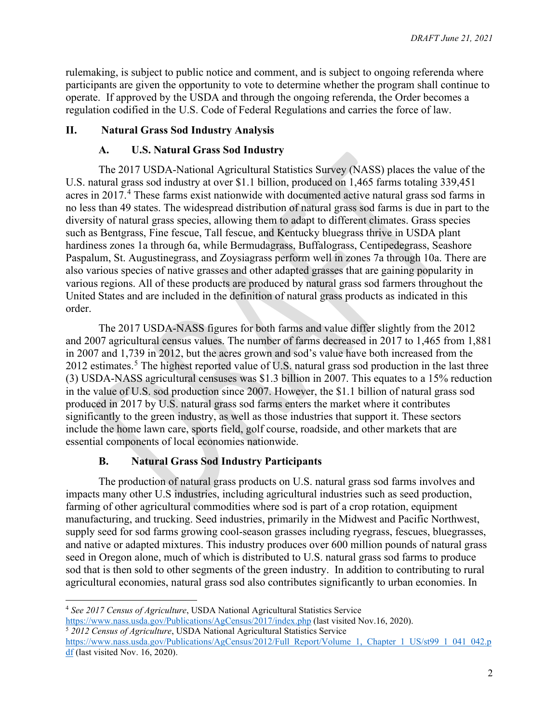rulemaking, is subject to public notice and comment, and is subject to ongoing referenda where participants are given the opportunity to vote to determine whether the program shall continue to operate. If approved by the USDA and through the ongoing referenda, the Order becomes a regulation codified in the U.S. Code of Federal Regulations and carries the force of law.

# **II. Natural Grass Sod Industry Analysis**

# **A. U.S. Natural Grass Sod Industry**

The 2017 USDA-National Agricultural Statistics Survey (NASS) places the value of the U.S. natural grass sod industry at over \$1.1 billion, produced on 1,465 farms totaling 339,451 acres in 2017.<sup>[4](#page-1-0)</sup> These farms exist nationwide with documented active natural grass sod farms in no less than 49 states. The widespread distribution of natural grass sod farms is due in part to the diversity of natural grass species, allowing them to adapt to different climates. Grass species such as Bentgrass, Fine fescue, Tall fescue, and Kentucky bluegrass thrive in USDA plant hardiness zones 1a through 6a, while Bermudagrass, Buffalograss, Centipedegrass, Seashore Paspalum, St. Augustinegrass, and Zoysiagrass perform well in zones 7a through 10a. There are also various species of native grasses and other adapted grasses that are gaining popularity in various regions. All of these products are produced by natural grass sod farmers throughout the United States and are included in the definition of natural grass products as indicated in this order.

The 2017 USDA-NASS figures for both farms and value differ slightly from the 2012 and 2007 agricultural census values. The number of farms decreased in 2017 to 1,465 from 1,881 in 2007 and 1,739 in 2012, but the acres grown and sod's value have both increased from the 2012 estimates.<sup>[5](#page-1-1)</sup> The highest reported value of U.S. natural grass sod production in the last three (3) USDA-NASS agricultural censuses was \$1.3 billion in 2007. This equates to a 15% reduction in the value of U.S. sod production since 2007. However, the \$1.1 billion of natural grass sod produced in 2017 by U.S. natural grass sod farms enters the market where it contributes significantly to the green industry, as well as those industries that support it. These sectors include the home lawn care, sports field, golf course, roadside, and other markets that are essential components of local economies nationwide.

# **B. Natural Grass Sod Industry Participants**

The production of natural grass products on U.S. natural grass sod farms involves and impacts many other U.S industries, including agricultural industries such as seed production, farming of other agricultural commodities where sod is part of a crop rotation, equipment manufacturing, and trucking. Seed industries, primarily in the Midwest and Pacific Northwest, supply seed for sod farms growing cool-season grasses including ryegrass, fescues, bluegrasses, and native or adapted mixtures. This industry produces over 600 million pounds of natural grass seed in Oregon alone, much of which is distributed to U.S. natural grass sod farms to produce sod that is then sold to other segments of the green industry. In addition to contributing to rural agricultural economies, natural grass sod also contributes significantly to urban economies. In

<span id="page-1-0"></span><sup>4</sup> *See 2017 Census of Agriculture*, USDA National Agricultural Statistics Service

<span id="page-1-1"></span><https://www.nass.usda.gov/Publications/AgCensus/2017/index.php> (last visited Nov.16, 2020). <sup>5</sup> *2012 Census of Agriculture*, USDA National Agricultural Statistics Service

[https://www.nass.usda.gov/Publications/AgCensus/2012/Full\\_Report/Volume\\_1,\\_Chapter\\_1\\_US/st99\\_1\\_041\\_042.p](https://www.nass.usda.gov/Publications/AgCensus/2012/Full_Report/Volume_1,_Chapter_1_US/st99_1_041_042.pdf)  $df$  (last visited Nov. 16, 2020).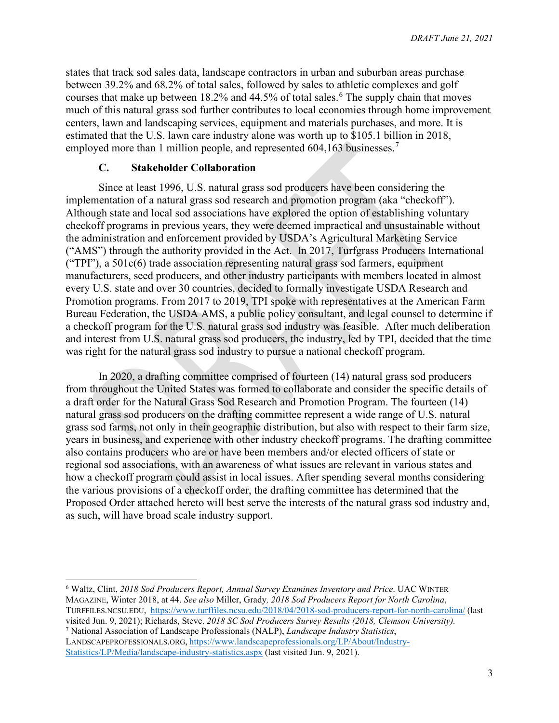states that track sod sales data, landscape contractors in urban and suburban areas purchase between 39.2% and 68.2% of total sales, followed by sales to athletic complexes and golf courses that make up between  $18.2\%$  and  $44.5\%$  of total sales.<sup>[6](#page-2-0)</sup> The supply chain that moves much of this natural grass sod further contributes to local economies through home improvement centers, lawn and landscaping services, equipment and materials purchases, and more. It is estimated that the U.S. lawn care industry alone was worth up to \$105.1 billion in 2018, employed more than 1 million people, and represented 604,163 businesses.<sup>[7](#page-2-1)</sup>

### **C. Stakeholder Collaboration**

Since at least 1996, U.S. natural grass sod producers have been considering the implementation of a natural grass sod research and promotion program (aka "checkoff"). Although state and local sod associations have explored the option of establishing voluntary checkoff programs in previous years, they were deemed impractical and unsustainable without the administration and enforcement provided by USDA's Agricultural Marketing Service ("AMS") through the authority provided in the Act. In 2017, Turfgrass Producers International ("TPI"), a 501c(6) trade association representing natural grass sod farmers, equipment manufacturers, seed producers, and other industry participants with members located in almost every U.S. state and over 30 countries, decided to formally investigate USDA Research and Promotion programs. From 2017 to 2019, TPI spoke with representatives at the American Farm Bureau Federation, the USDA AMS, a public policy consultant, and legal counsel to determine if a checkoff program for the U.S. natural grass sod industry was feasible. After much deliberation and interest from U.S. natural grass sod producers, the industry, led by TPI, decided that the time was right for the natural grass sod industry to pursue a national checkoff program.

In 2020, a drafting committee comprised of fourteen (14) natural grass sod producers from throughout the United States was formed to collaborate and consider the specific details of a draft order for the Natural Grass Sod Research and Promotion Program. The fourteen (14) natural grass sod producers on the drafting committee represent a wide range of U.S. natural grass sod farms, not only in their geographic distribution, but also with respect to their farm size, years in business, and experience with other industry checkoff programs. The drafting committee also contains producers who are or have been members and/or elected officers of state or regional sod associations, with an awareness of what issues are relevant in various states and how a checkoff program could assist in local issues. After spending several months considering the various provisions of a checkoff order, the drafting committee has determined that the Proposed Order attached hereto will best serve the interests of the natural grass sod industry and, as such, will have broad scale industry support.

<span id="page-2-1"></span><sup>7</sup> National Association of Landscape Professionals (NALP), *Landscape Industry Statistics*, LANDSCAPEPROFESSIONALS.ORG, [https://www.landscapeprofessionals.org/LP/About/Industry-](https://gcc02.safelinks.protection.outlook.com/?url=https%3A%2F%2Fwww.landscapeprofessionals.org%2FLP%2FAbout%2FIndustry-Statistics%2FLP%2FMedia%2Flandscape-industry-statistics.aspx&data=04%7C01%7C%7C5ade9627571d4aac77dc08d9277f683a%7Ced5b36e701ee4ebc867ee03cfa0d4697%7C0%7C1%7C637584250430885550%7CUnknown%7CTWFpbGZsb3d8eyJWIjoiMC4wLjAwMDAiLCJQIjoiV2luMzIiLCJBTiI6Ik1haWwiLCJXVCI6Mn0%3D%7C0&sdata=YpGPkupzm6gEGbQ2BZRUjDTk5rLzBC6BD0B18C%2BmJt0%3D&reserved=0)

[Statistics/LP/Media/landscape-industry-statistics.aspx](https://gcc02.safelinks.protection.outlook.com/?url=https%3A%2F%2Fwww.landscapeprofessionals.org%2FLP%2FAbout%2FIndustry-Statistics%2FLP%2FMedia%2Flandscape-industry-statistics.aspx&data=04%7C01%7C%7C5ade9627571d4aac77dc08d9277f683a%7Ced5b36e701ee4ebc867ee03cfa0d4697%7C0%7C1%7C637584250430885550%7CUnknown%7CTWFpbGZsb3d8eyJWIjoiMC4wLjAwMDAiLCJQIjoiV2luMzIiLCJBTiI6Ik1haWwiLCJXVCI6Mn0%3D%7C0&sdata=YpGPkupzm6gEGbQ2BZRUjDTk5rLzBC6BD0B18C%2BmJt0%3D&reserved=0) (last visited Jun. 9, 2021).

<span id="page-2-0"></span><sup>6</sup> Waltz, Clint, *2018 Sod Producers Report, Annual Survey Examines Inventory and Price*. UAC WINTER MAGAZINE, Winter 2018, at 44. *See also* Miller, Grady*, 2018 Sod Producers Report for North Carolina*, TURFFILES.NCSU.EDU, <https://www.turffiles.ncsu.edu/2018/04/2018-sod-producers-report-for-north-carolina/> (last visited Jun. 9, 2021); Richards, Steve. *2018 SC Sod Producers Survey Results (2018, Clemson University).*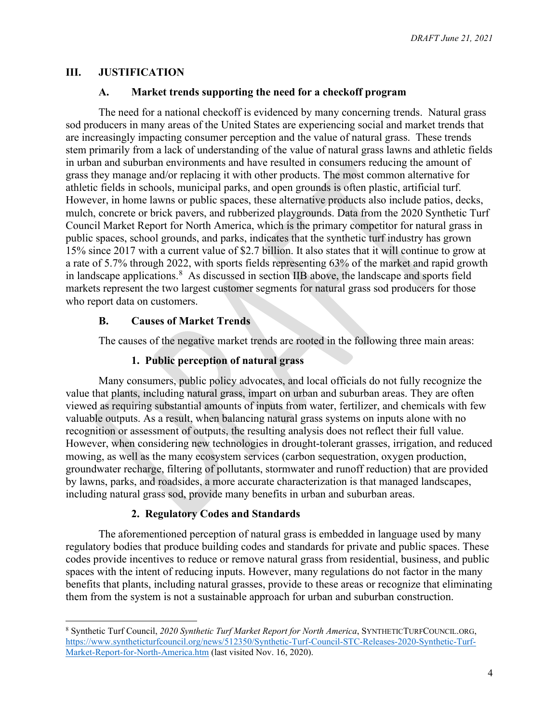# **III. JUSTIFICATION**

#### **A. Market trends supporting the need for a checkoff program**

The need for a national checkoff is evidenced by many concerning trends. Natural grass sod producers in many areas of the United States are experiencing social and market trends that are increasingly impacting consumer perception and the value of natural grass. These trends stem primarily from a lack of understanding of the value of natural grass lawns and athletic fields in urban and suburban environments and have resulted in consumers reducing the amount of grass they manage and/or replacing it with other products. The most common alternative for athletic fields in schools, municipal parks, and open grounds is often plastic, artificial turf. However, in home lawns or public spaces, these alternative products also include patios, decks, mulch, concrete or brick pavers, and rubberized playgrounds. Data from the 2020 Synthetic Turf Council Market Report for North America, which is the primary competitor for natural grass in public spaces, school grounds, and parks, indicates that the synthetic turf industry has grown 15% since 2017 with a current value of \$2.7 billion. It also states that it will continue to grow at a rate of 5.7% through 2022, with sports fields representing 63% of the market and rapid growth in landscape applications. $8$  As discussed in section IIB above, the landscape and sports field markets represent the two largest customer segments for natural grass sod producers for those who report data on customers.

#### **B. Causes of Market Trends**

The causes of the negative market trends are rooted in the following three main areas:

### **1. Public perception of natural grass**

Many consumers, public policy advocates, and local officials do not fully recognize the value that plants, including natural grass, impart on urban and suburban areas. They are often viewed as requiring substantial amounts of inputs from water, fertilizer, and chemicals with few valuable outputs. As a result, when balancing natural grass systems on inputs alone with no recognition or assessment of outputs, the resulting analysis does not reflect their full value. However, when considering new technologies in drought-tolerant grasses, irrigation, and reduced mowing, as well as the many ecosystem services (carbon sequestration, oxygen production, groundwater recharge, filtering of pollutants, stormwater and runoff reduction) that are provided by lawns, parks, and roadsides, a more accurate characterization is that managed landscapes, including natural grass sod, provide many benefits in urban and suburban areas.

# **2. Regulatory Codes and Standards**

The aforementioned perception of natural grass is embedded in language used by many regulatory bodies that produce building codes and standards for private and public spaces. These codes provide incentives to reduce or remove natural grass from residential, business, and public spaces with the intent of reducing inputs. However, many regulations do not factor in the many benefits that plants, including natural grasses, provide to these areas or recognize that eliminating them from the system is not a sustainable approach for urban and suburban construction.

<span id="page-3-0"></span><sup>8</sup> Synthetic Turf Council, *2020 Synthetic Turf Market Report for North America*, SYNTHETICTURFCOUNCIL.ORG, [https://www.syntheticturfcouncil.org/news/512350/Synthetic-Turf-Council-STC-Releases-2020-Synthetic-Turf-](https://www.syntheticturfcouncil.org/news/512350/Synthetic-Turf-Council-STC-Releases-2020-Synthetic-Turf-Market-Report-for-North-America.htm)[Market-Report-for-North-America.htm](https://www.syntheticturfcouncil.org/news/512350/Synthetic-Turf-Council-STC-Releases-2020-Synthetic-Turf-Market-Report-for-North-America.htm) (last visited Nov. 16, 2020).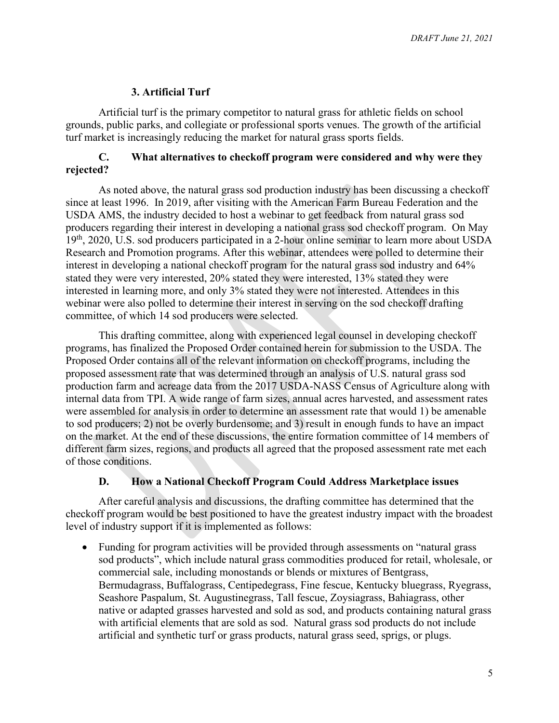# **3. Artificial Turf**

Artificial turf is the primary competitor to natural grass for athletic fields on school grounds, public parks, and collegiate or professional sports venues. The growth of the artificial turf market is increasingly reducing the market for natural grass sports fields.

# **C. What alternatives to checkoff program were considered and why were they rejected?**

As noted above, the natural grass sod production industry has been discussing a checkoff since at least 1996. In 2019, after visiting with the American Farm Bureau Federation and the USDA AMS, the industry decided to host a webinar to get feedback from natural grass sod producers regarding their interest in developing a national grass sod checkoff program. On May 19th, 2020, U.S. sod producers participated in a 2-hour online seminar to learn more about USDA Research and Promotion programs. After this webinar, attendees were polled to determine their interest in developing a national checkoff program for the natural grass sod industry and 64% stated they were very interested, 20% stated they were interested, 13% stated they were interested in learning more, and only 3% stated they were not interested. Attendees in this webinar were also polled to determine their interest in serving on the sod checkoff drafting committee, of which 14 sod producers were selected.

This drafting committee, along with experienced legal counsel in developing checkoff programs, has finalized the Proposed Order contained herein for submission to the USDA. The Proposed Order contains all of the relevant information on checkoff programs, including the proposed assessment rate that was determined through an analysis of U.S. natural grass sod production farm and acreage data from the 2017 USDA-NASS Census of Agriculture along with internal data from TPI. A wide range of farm sizes, annual acres harvested, and assessment rates were assembled for analysis in order to determine an assessment rate that would 1) be amenable to sod producers; 2) not be overly burdensome; and 3) result in enough funds to have an impact on the market. At the end of these discussions, the entire formation committee of 14 members of different farm sizes, regions, and products all agreed that the proposed assessment rate met each of those conditions.

# **D. How a National Checkoff Program Could Address Marketplace issues**

After careful analysis and discussions, the drafting committee has determined that the checkoff program would be best positioned to have the greatest industry impact with the broadest level of industry support if it is implemented as follows:

• Funding for program activities will be provided through assessments on "natural grass sod products", which include natural grass commodities produced for retail, wholesale, or commercial sale, including monostands or blends or mixtures of Bentgrass, Bermudagrass, Buffalograss, Centipedegrass, Fine fescue, Kentucky bluegrass, Ryegrass, Seashore Paspalum, St. Augustinegrass, Tall fescue, Zoysiagrass, Bahiagrass, other native or adapted grasses harvested and sold as sod, and products containing natural grass with artificial elements that are sold as sod. Natural grass sod products do not include artificial and synthetic turf or grass products, natural grass seed, sprigs, or plugs.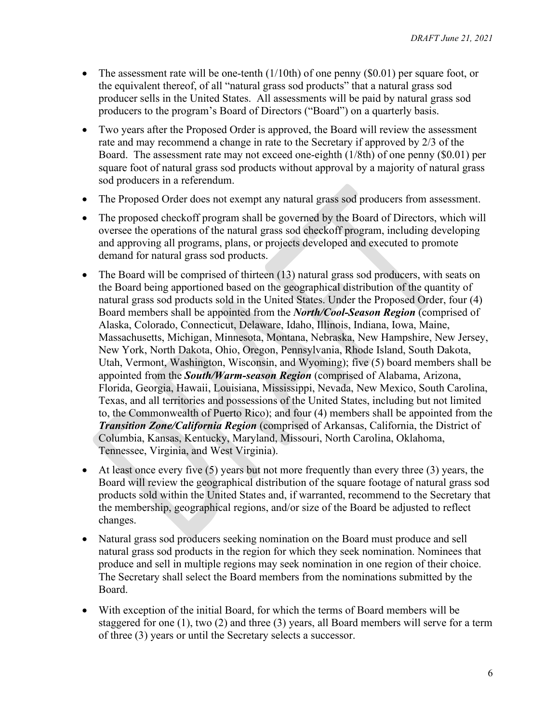- The assessment rate will be one-tenth  $(1/10th)$  of one penny  $(\$0.01)$  per square foot, or the equivalent thereof, of all "natural grass sod products" that a natural grass sod producer sells in the United States. All assessments will be paid by natural grass sod producers to the program's Board of Directors ("Board") on a quarterly basis.
- Two years after the Proposed Order is approved, the Board will review the assessment rate and may recommend a change in rate to the Secretary if approved by 2/3 of the Board. The assessment rate may not exceed one-eighth (1/8th) of one penny (\$0.01) per square foot of natural grass sod products without approval by a majority of natural grass sod producers in a referendum.
- The Proposed Order does not exempt any natural grass sod producers from assessment.
- The proposed checkoff program shall be governed by the Board of Directors, which will oversee the operations of the natural grass sod checkoff program, including developing and approving all programs, plans, or projects developed and executed to promote demand for natural grass sod products.
- The Board will be comprised of thirteen (13) natural grass sod producers, with seats on the Board being apportioned based on the geographical distribution of the quantity of natural grass sod products sold in the United States. Under the Proposed Order, four (4) Board members shall be appointed from the *North/Cool-Season Region* (comprised of Alaska, Colorado, Connecticut, Delaware, Idaho, Illinois, Indiana, Iowa, Maine, Massachusetts, Michigan, Minnesota, Montana, Nebraska, New Hampshire, New Jersey, New York, North Dakota, Ohio, Oregon, Pennsylvania, Rhode Island, South Dakota, Utah, Vermont, Washington, Wisconsin, and Wyoming); five (5) board members shall be appointed from the *South/Warm-season Region* (comprised of Alabama, Arizona, Florida, Georgia, Hawaii, Louisiana, Mississippi, Nevada, New Mexico, South Carolina, Texas, and all territories and possessions of the United States, including but not limited to, the Commonwealth of Puerto Rico); and four (4) members shall be appointed from the *Transition Zone/California Region* (comprised of Arkansas, California, the District of Columbia, Kansas, Kentucky, Maryland, Missouri, North Carolina, Oklahoma, Tennessee, Virginia, and West Virginia).
- At least once every five (5) years but not more frequently than every three (3) years, the Board will review the geographical distribution of the square footage of natural grass sod products sold within the United States and, if warranted, recommend to the Secretary that the membership, geographical regions, and/or size of the Board be adjusted to reflect changes.
- Natural grass sod producers seeking nomination on the Board must produce and sell natural grass sod products in the region for which they seek nomination. Nominees that produce and sell in multiple regions may seek nomination in one region of their choice. The Secretary shall select the Board members from the nominations submitted by the Board.
- With exception of the initial Board, for which the terms of Board members will be staggered for one (1), two (2) and three (3) years, all Board members will serve for a term of three (3) years or until the Secretary selects a successor.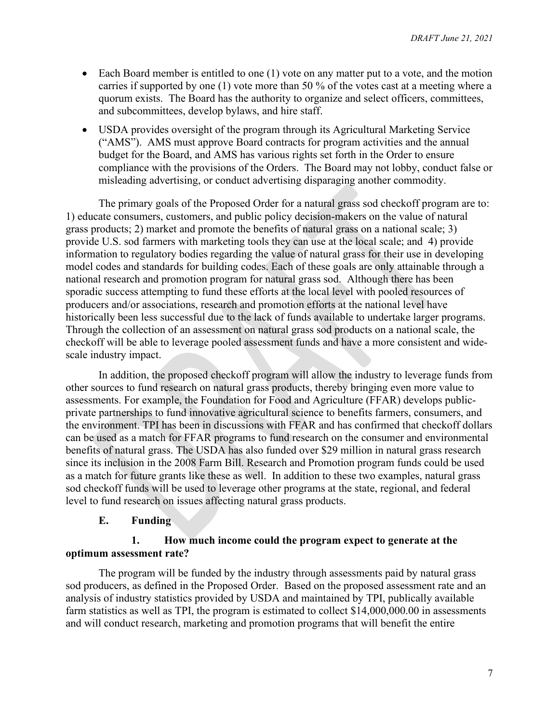- Each Board member is entitled to one (1) vote on any matter put to a vote, and the motion carries if supported by one (1) vote more than 50 % of the votes cast at a meeting where a quorum exists. The Board has the authority to organize and select officers, committees, and subcommittees, develop bylaws, and hire staff.
- USDA provides oversight of the program through its Agricultural Marketing Service ("AMS"). AMS must approve Board contracts for program activities and the annual budget for the Board, and AMS has various rights set forth in the Order to ensure compliance with the provisions of the Orders. The Board may not lobby, conduct false or misleading advertising, or conduct advertising disparaging another commodity.

The primary goals of the Proposed Order for a natural grass sod checkoff program are to: 1) educate consumers, customers, and public policy decision-makers on the value of natural grass products; 2) market and promote the benefits of natural grass on a national scale; 3) provide U.S. sod farmers with marketing tools they can use at the local scale; and 4) provide information to regulatory bodies regarding the value of natural grass for their use in developing model codes and standards for building codes. Each of these goals are only attainable through a national research and promotion program for natural grass sod. Although there has been sporadic success attempting to fund these efforts at the local level with pooled resources of producers and/or associations, research and promotion efforts at the national level have historically been less successful due to the lack of funds available to undertake larger programs. Through the collection of an assessment on natural grass sod products on a national scale, the checkoff will be able to leverage pooled assessment funds and have a more consistent and widescale industry impact.

In addition, the proposed checkoff program will allow the industry to leverage funds from other sources to fund research on natural grass products, thereby bringing even more value to assessments. For example, the Foundation for Food and Agriculture (FFAR) develops publicprivate partnerships to fund innovative agricultural science to benefits farmers, consumers, and the environment. TPI has been in discussions with FFAR and has confirmed that checkoff dollars can be used as a match for FFAR programs to fund research on the consumer and environmental benefits of natural grass. The USDA has also funded over \$29 million in natural grass research since its inclusion in the 2008 Farm Bill. Research and Promotion program funds could be used as a match for future grants like these as well. In addition to these two examples, natural grass sod checkoff funds will be used to leverage other programs at the state, regional, and federal level to fund research on issues affecting natural grass products.

# **E. Funding**

#### **1. How much income could the program expect to generate at the optimum assessment rate?**

The program will be funded by the industry through assessments paid by natural grass sod producers, as defined in the Proposed Order. Based on the proposed assessment rate and an analysis of industry statistics provided by USDA and maintained by TPI, publically available farm statistics as well as TPI, the program is estimated to collect \$14,000,000.00 in assessments and will conduct research, marketing and promotion programs that will benefit the entire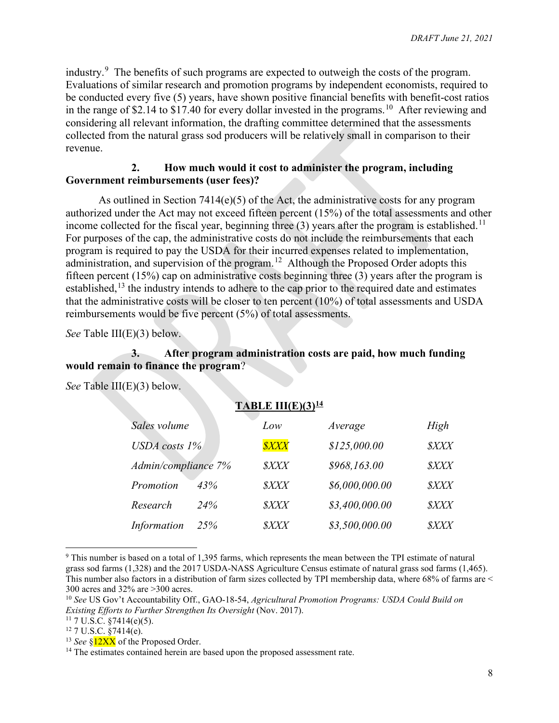industry.<sup>[9](#page-7-0)</sup> The benefits of such programs are expected to outweigh the costs of the program. Evaluations of similar research and promotion programs by independent economists, required to be conducted every five (5) years, have shown positive financial benefits with benefit-cost ratios in the range of \$2.14 to  $$17.40$  for every dollar invested in the programs.<sup>[10](#page-7-1)</sup> After reviewing and considering all relevant information, the drafting committee determined that the assessments collected from the natural grass sod producers will be relatively small in comparison to their revenue.

#### **2. How much would it cost to administer the program, including Government reimbursements (user fees)?**

As outlined in Section 7414(e)(5) of the Act, the administrative costs for any program authorized under the Act may not exceed fifteen percent (15%) of the total assessments and other income collected for the fiscal year, beginning three  $(3)$  years after the program is established.<sup>11</sup> For purposes of the cap, the administrative costs do not include the reimbursements that each program is required to pay the USDA for their incurred expenses related to implementation, administration, and supervision of the program.<sup>[12](#page-7-3)</sup> Although the Proposed Order adopts this fifteen percent (15%) cap on administrative costs beginning three (3) years after the program is established,<sup>[13](#page-7-4)</sup> the industry intends to adhere to the cap prior to the required date and estimates that the administrative costs will be closer to ten percent (10%) of total assessments and USDA reimbursements would be five percent (5%) of total assessments.

*See* Table III(E)(3) below.

# **3. After program administration costs are paid, how much funding would remain to finance the program**?

*See* Table III(E)(3) below.

| TABLE III(E)(3) $14$ |     |             |                |             |
|----------------------|-----|-------------|----------------|-------------|
| Sales volume         |     | Low         | Average        | High        |
| USDA costs $1\%$     |     | <b>SXXX</b> | \$125,000.00   | <b>SXXX</b> |
| Admin/compliance 7%  |     | <b>SXXX</b> | \$968,163.00   | <b>SXXX</b> |
| Promotion            | 43% | <i>SXXX</i> | \$6,000,000.00 | <b>SXXX</b> |
| Research             | 24% | <b>SXXX</b> | \$3,400,000.00 | <b>SXXX</b> |
| <b>Information</b>   | 25% | <b>SXXX</b> | \$3,500,000.00 | <b>SXXX</b> |

<span id="page-7-0"></span><sup>&</sup>lt;sup>9</sup> This number is based on a total of 1,395 farms, which represents the mean between the TPI estimate of natural grass sod farms (1,328) and the 2017 USDA-NASS Agriculture Census estimate of natural grass sod farms (1,465). This number also factors in a distribution of farm sizes collected by TPI membership data, where 68% of farms are < 300 acres and 32% are >300 acres.

<span id="page-7-1"></span><sup>10</sup> *See* US Gov't Accountability Off., GAO-18-54, *Agricultural Promotion Programs: USDA Could Build on Existing Efforts to Further Strengthen Its Oversight* (Nov. 2017).

<span id="page-7-2"></span><sup>&</sup>lt;sup>11</sup> 7 U.S.C. §7414(e)(5).<br><sup>12</sup> 7 U.S.C. §7414(e).

<span id="page-7-3"></span>

<span id="page-7-4"></span><sup>&</sup>lt;sup>13</sup> *See* §<sup>12XX</sup> of the Proposed Order.

<span id="page-7-5"></span><sup>&</sup>lt;sup>14</sup> The estimates contained herein are based upon the proposed assessment rate.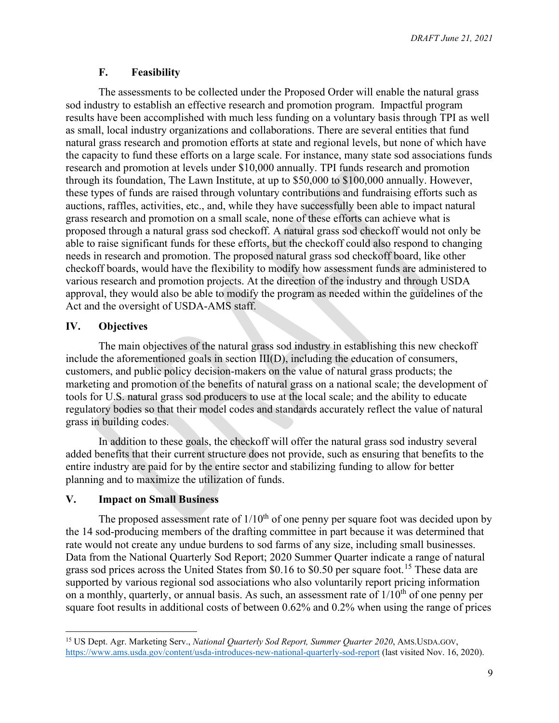*DRAFT June 21, 2021*

#### **F. Feasibility**

The assessments to be collected under the Proposed Order will enable the natural grass sod industry to establish an effective research and promotion program. Impactful program results have been accomplished with much less funding on a voluntary basis through TPI as well as small, local industry organizations and collaborations. There are several entities that fund natural grass research and promotion efforts at state and regional levels, but none of which have the capacity to fund these efforts on a large scale. For instance, many state sod associations funds research and promotion at levels under \$10,000 annually. TPI funds research and promotion through its foundation, The Lawn Institute, at up to \$50,000 to \$100,000 annually. However, these types of funds are raised through voluntary contributions and fundraising efforts such as auctions, raffles, activities, etc., and, while they have successfully been able to impact natural grass research and promotion on a small scale, none of these efforts can achieve what is proposed through a natural grass sod checkoff. A natural grass sod checkoff would not only be able to raise significant funds for these efforts, but the checkoff could also respond to changing needs in research and promotion. The proposed natural grass sod checkoff board, like other checkoff boards, would have the flexibility to modify how assessment funds are administered to various research and promotion projects. At the direction of the industry and through USDA approval, they would also be able to modify the program as needed within the guidelines of the Act and the oversight of USDA-AMS staff.

#### **IV. Objectives**

The main objectives of the natural grass sod industry in establishing this new checkoff include the aforementioned goals in section III(D), including the education of consumers, customers, and public policy decision-makers on the value of natural grass products; the marketing and promotion of the benefits of natural grass on a national scale; the development of tools for U.S. natural grass sod producers to use at the local scale; and the ability to educate regulatory bodies so that their model codes and standards accurately reflect the value of natural grass in building codes.

In addition to these goals, the checkoff will offer the natural grass sod industry several added benefits that their current structure does not provide, such as ensuring that benefits to the entire industry are paid for by the entire sector and stabilizing funding to allow for better planning and to maximize the utilization of funds.

# **V. Impact on Small Business**

The proposed assessment rate of  $1/10^{th}$  of one penny per square foot was decided upon by the 14 sod-producing members of the drafting committee in part because it was determined that rate would not create any undue burdens to sod farms of any size, including small businesses. Data from the National Quarterly Sod Report; 2020 Summer Quarter indicate a range of natural grass sod prices across the United States from \$0.16 to \$0.50 per square foot.<sup>[15](#page-8-0)</sup> These data are supported by various regional sod associations who also voluntarily report pricing information on a monthly, quarterly, or annual basis. As such, an assessment rate of  $1/10<sup>th</sup>$  of one penny per square foot results in additional costs of between 0.62% and 0.2% when using the range of prices

<span id="page-8-0"></span><sup>&</sup>lt;sup>15</sup> US Dept. Agr. Marketing Serv., *National Quarterly Sod Report, Summer Quarter 2020*, AMS.USDA.GOV, <https://www.ams.usda.gov/content/usda-introduces-new-national-quarterly-sod-report> (last visited Nov. 16, 2020).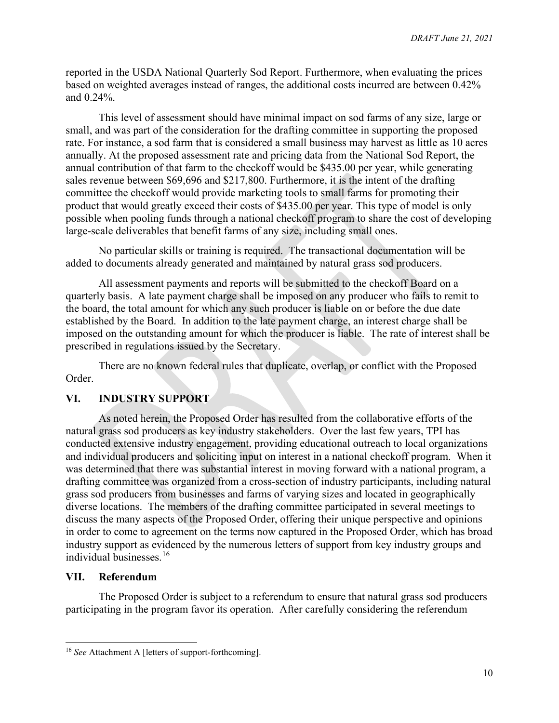reported in the USDA National Quarterly Sod Report. Furthermore, when evaluating the prices based on weighted averages instead of ranges, the additional costs incurred are between 0.42% and 0.24%.

This level of assessment should have minimal impact on sod farms of any size, large or small, and was part of the consideration for the drafting committee in supporting the proposed rate. For instance, a sod farm that is considered a small business may harvest as little as 10 acres annually. At the proposed assessment rate and pricing data from the National Sod Report, the annual contribution of that farm to the checkoff would be \$435.00 per year, while generating sales revenue between \$69,696 and \$217,800. Furthermore, it is the intent of the drafting committee the checkoff would provide marketing tools to small farms for promoting their product that would greatly exceed their costs of \$435.00 per year. This type of model is only possible when pooling funds through a national checkoff program to share the cost of developing large-scale deliverables that benefit farms of any size, including small ones.

No particular skills or training is required. The transactional documentation will be added to documents already generated and maintained by natural grass sod producers.

All assessment payments and reports will be submitted to the checkoff Board on a quarterly basis. A late payment charge shall be imposed on any producer who fails to remit to the board, the total amount for which any such producer is liable on or before the due date established by the Board. In addition to the late payment charge, an interest charge shall be imposed on the outstanding amount for which the producer is liable. The rate of interest shall be prescribed in regulations issued by the Secretary.

There are no known federal rules that duplicate, overlap, or conflict with the Proposed Order.

#### **VI. INDUSTRY SUPPORT**

As noted herein, the Proposed Order has resulted from the collaborative efforts of the natural grass sod producers as key industry stakeholders. Over the last few years, TPI has conducted extensive industry engagement, providing educational outreach to local organizations and individual producers and soliciting input on interest in a national checkoff program. When it was determined that there was substantial interest in moving forward with a national program, a drafting committee was organized from a cross-section of industry participants, including natural grass sod producers from businesses and farms of varying sizes and located in geographically diverse locations. The members of the drafting committee participated in several meetings to discuss the many aspects of the Proposed Order, offering their unique perspective and opinions in order to come to agreement on the terms now captured in the Proposed Order, which has broad industry support as evidenced by the numerous letters of support from key industry groups and individual businesses.[16](#page-9-0)

#### **VII. Referendum**

The Proposed Order is subject to a referendum to ensure that natural grass sod producers participating in the program favor its operation. After carefully considering the referendum

<span id="page-9-0"></span><sup>16</sup> *See* Attachment A [letters of support-forthcoming].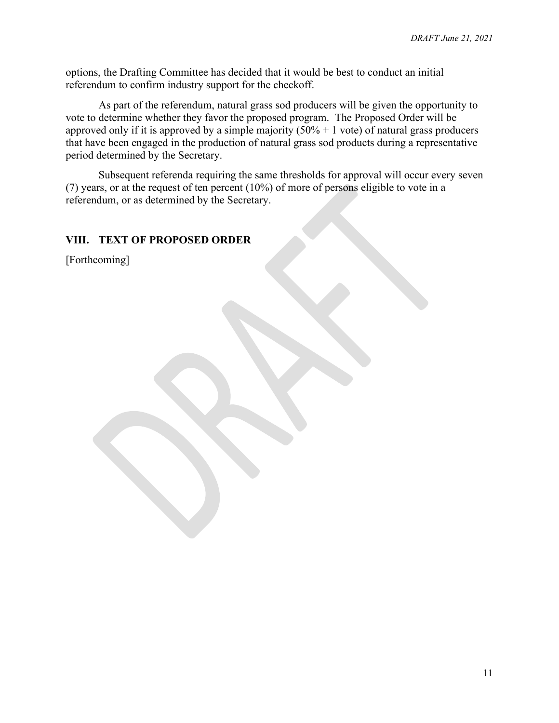options, the Drafting Committee has decided that it would be best to conduct an initial referendum to confirm industry support for the checkoff.

As part of the referendum, natural grass sod producers will be given the opportunity to vote to determine whether they favor the proposed program. The Proposed Order will be approved only if it is approved by a simple majority  $(50% + 1$  vote) of natural grass producers that have been engaged in the production of natural grass sod products during a representative period determined by the Secretary.

Subsequent referenda requiring the same thresholds for approval will occur every seven (7) years, or at the request of ten percent (10%) of more of persons eligible to vote in a referendum, or as determined by the Secretary.

#### **VIII. TEXT OF PROPOSED ORDER**

[Forthcoming]